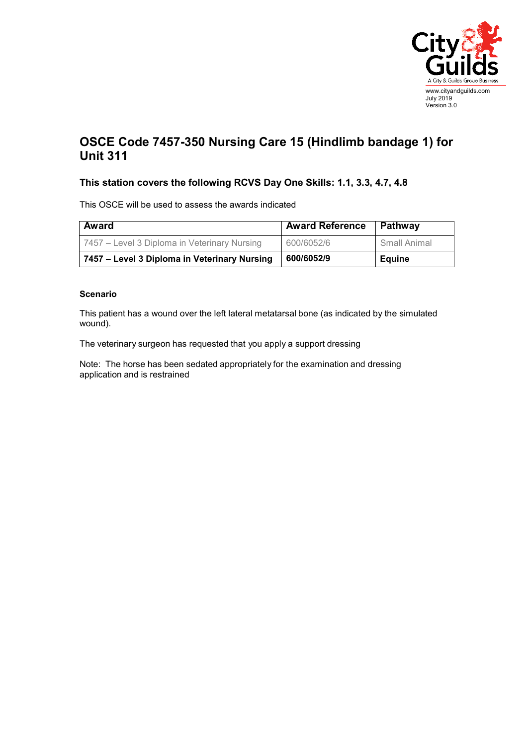

## **OSCE Code 7457-350 Nursing Care 15 (Hindlimb bandage 1) for Unit 311**

## **This station covers the following RCVS Day One Skills: 1.1, 3.3, 4.7, 4.8**

This OSCE will be used to assess the awards indicated

| <b>Award</b>                                 | <b>Award Reference</b> | Pathway      |
|----------------------------------------------|------------------------|--------------|
| 7457 – Level 3 Diploma in Veterinary Nursing | 600/6052/6             | Small Animal |
| 7457 – Level 3 Diploma in Veterinary Nursing | 600/6052/9             | Eauine       |

## **Scenario**

This patient has a wound over the left lateral metatarsal bone (as indicated by the simulated wound).

The veterinary surgeon has requested that you apply a support dressing

Note: The horse has been sedated appropriately for the examination and dressing application and is restrained